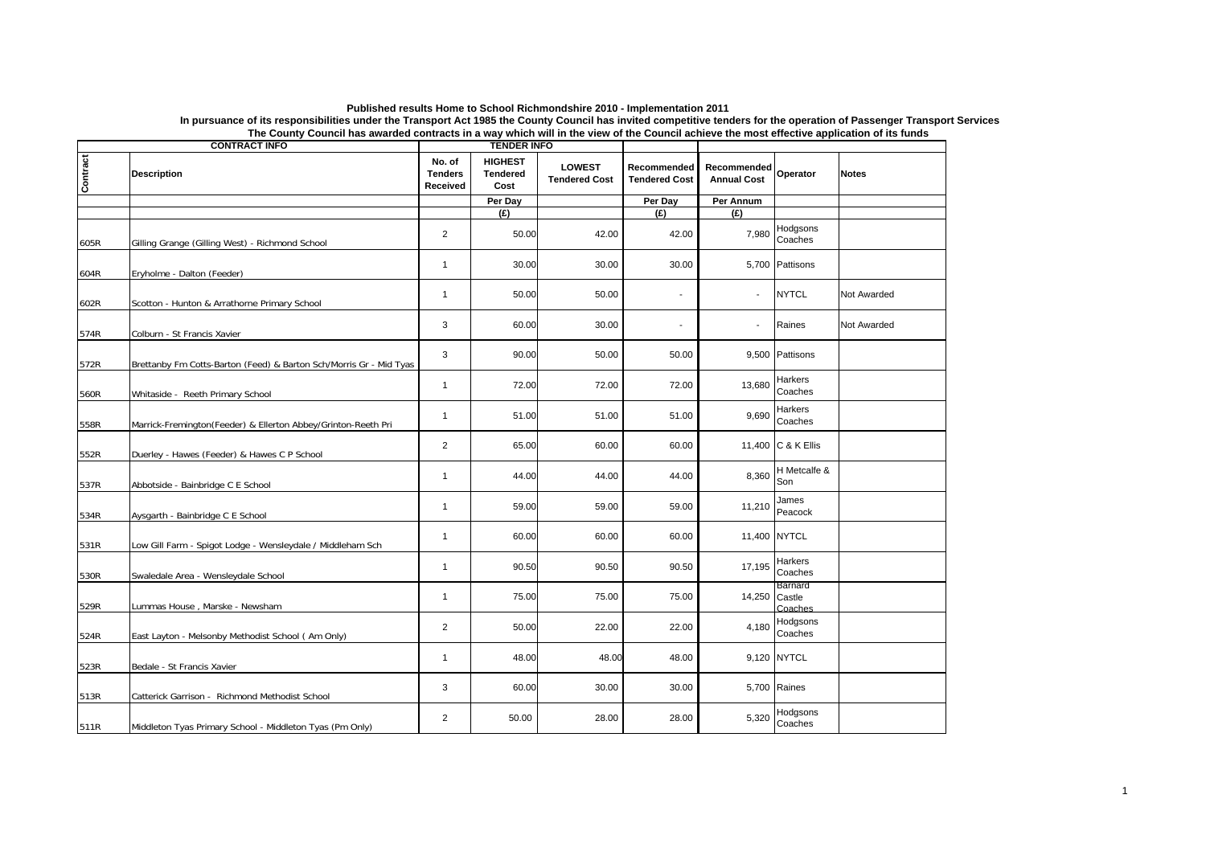| Published results Home to School Richmondshire 2010 - Implementation 2011                                                                                              |
|------------------------------------------------------------------------------------------------------------------------------------------------------------------------|
| In pursuance of its responsibilities under the Transport Act 1985 the County Council has invited competitive tenders for the operation of Passenger Transport Services |
| The County Council has awarded contracts in a way which will in the view of the Council achieve the most effective application of its funds                            |

| <b>CONTRACT INFO</b> |                                                                    | <b>TENDER INFO</b>                   |                                           |                                       |                                     |                                   |                              |              |
|----------------------|--------------------------------------------------------------------|--------------------------------------|-------------------------------------------|---------------------------------------|-------------------------------------|-----------------------------------|------------------------------|--------------|
| Contract             | <b>Description</b>                                                 | No. of<br><b>Tenders</b><br>Received | <b>HIGHEST</b><br><b>Tendered</b><br>Cost | <b>LOWEST</b><br><b>Tendered Cost</b> | Recommended<br><b>Tendered Cost</b> | Recommended<br><b>Annual Cost</b> | Operator                     | <b>Notes</b> |
|                      |                                                                    |                                      | Per Day                                   |                                       | Per Day                             | Per Annum                         |                              |              |
|                      |                                                                    |                                      | (E)                                       |                                       | (E)                                 | (E)                               |                              |              |
| 605R                 | Gilling Grange (Gilling West) - Richmond School                    | $\overline{2}$                       | 50.00                                     | 42.00                                 | 42.00                               | 7.980                             | Hodgsons<br>Coaches          |              |
| 604R                 | Eryholme - Dalton (Feeder)                                         | $\mathbf{1}$                         | 30.00                                     | 30.00                                 | 30.00                               |                                   | 5,700 Pattisons              |              |
| 602R                 | Scotton - Hunton & Arrathorne Primary School                       | 1                                    | 50.00                                     | 50.00                                 | $\sim$                              |                                   | <b>NYTCL</b>                 | Not Awarded  |
| 574R                 | Colburn - St Francis Xavier                                        | 3                                    | 60.00                                     | 30.00                                 | $\sim$                              |                                   | Raines                       | Not Awarded  |
| 572R                 | Brettanby Fm Cotts-Barton (Feed) & Barton Sch/Morris Gr - Mid Tyas | 3                                    | 90.00                                     | 50.00                                 | 50.00                               |                                   | 9,500 Pattisons              |              |
| 560R                 | Whitaside - Reeth Primary School                                   | $\mathbf{1}$                         | 72.00                                     | 72.00                                 | 72.00                               | 13,680                            | Harkers<br>Coaches           |              |
| 558R                 | Marrick-Fremington(Feeder) & Ellerton Abbey/Grinton-Reeth Pri      | $\mathbf{1}$                         | 51.00                                     | 51.00                                 | 51.00                               | 9,690                             | Harkers<br>Coaches           |              |
| 552R                 | Duerley - Hawes (Feeder) & Hawes C P School                        | $\overline{2}$                       | 65.00                                     | 60.00                                 | 60.00                               |                                   | 11,400 C & K Ellis           |              |
| 537R                 | Abbotside - Bainbridge C E School                                  | 1                                    | 44.00                                     | 44.00                                 | 44.00                               | 8,360                             | H Metcalfe &<br>Son          |              |
| 534R                 | Aysgarth - Bainbridge C E School                                   | $\mathbf{1}$                         | 59.00                                     | 59.00                                 | 59.00                               | 11,210                            | James<br>Peacock             |              |
| 531R                 | Low Gill Farm - Spigot Lodge - Wensleydale / Middleham Sch         | $\mathbf{1}$                         | 60.00                                     | 60.00                                 | 60.00                               |                                   | 11,400 NYTCL                 |              |
| 530R                 | Swaledale Area - Wensleydale School                                | $\mathbf{1}$                         | 90.50                                     | 90.50                                 | 90.50                               | 17,195                            | Harkers<br>Coaches           |              |
| 529R                 | Lummas House, Marske - Newsham                                     | $\mathbf{1}$                         | 75.00                                     | 75.00                                 | 75.00                               | 14,250                            | Barnard<br>Castle<br>Coaches |              |
| 524R                 | East Layton - Melsonby Methodist School ( Am Only)                 | $\overline{2}$                       | 50.00                                     | 22.00                                 | 22.00                               | 4,180                             | Hodgsons<br>Coaches          |              |
| 523R                 | Bedale - St Francis Xavier                                         | $\mathbf{1}$                         | 48.00                                     | 48.00                                 | 48.00                               |                                   | 9,120 NYTCL                  |              |
| 513R                 | Catterick Garrison - Richmond Methodist School                     | 3                                    | 60.00                                     | 30.00                                 | 30.00                               |                                   | 5,700 Raines                 |              |
| 511R                 | Middleton Tyas Primary School - Middleton Tyas (Pm Only)           | $\overline{2}$                       | 50.00                                     | 28.00                                 | 28.00                               | 5,320                             | Hodgsons<br>Coaches          |              |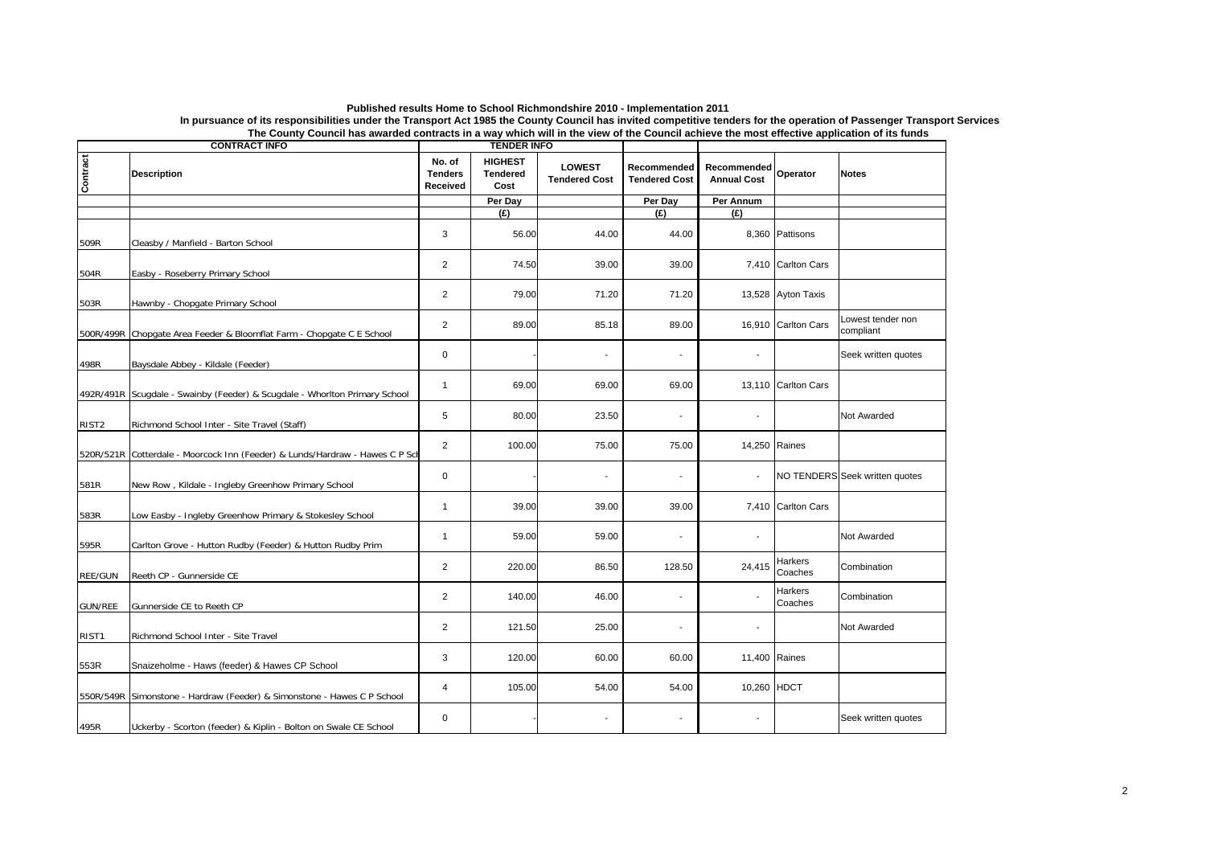| Published results Home to School Richmondshire 2010 - Implementation 2011                                                                                              |
|------------------------------------------------------------------------------------------------------------------------------------------------------------------------|
| In pursuance of its responsibilities under the Transport Act 1985 the County Council has invited competitive tenders for the operation of Passenger Transport Services |
| The County Council has awarded contracts in a way which will in the view of the Council achieve the most effective application of its funds                            |

| The County Council has awarded contracts in a way which will in the view of the Council achieve the most effective application of its funds<br><b>CONTRACT INFO</b><br><b>TENDER INFO</b> |                                                                             |                                      |                                           |                                       |                                     |                                   |                     |                                |
|-------------------------------------------------------------------------------------------------------------------------------------------------------------------------------------------|-----------------------------------------------------------------------------|--------------------------------------|-------------------------------------------|---------------------------------------|-------------------------------------|-----------------------------------|---------------------|--------------------------------|
| Contract                                                                                                                                                                                  | <b>Description</b>                                                          | No. of<br><b>Tenders</b><br>Received | <b>HIGHEST</b><br><b>Tendered</b><br>Cost | <b>LOWEST</b><br><b>Tendered Cost</b> | Recommended<br><b>Tendered Cost</b> | Recommended<br><b>Annual Cost</b> | Operator            | <b>Notes</b>                   |
|                                                                                                                                                                                           |                                                                             |                                      | Per Day                                   |                                       | Per Day                             | Per Annum                         |                     |                                |
|                                                                                                                                                                                           |                                                                             |                                      | (E)                                       |                                       | f(x)                                | (E)                               |                     |                                |
| 509R                                                                                                                                                                                      | Cleasby / Manfield - Barton School                                          | 3                                    | 56.00                                     | 44.00                                 | 44.00                               |                                   | 8,360 Pattisons     |                                |
| 504R                                                                                                                                                                                      | Easby - Roseberry Primary School                                            | $\overline{2}$                       | 74.50                                     | 39.00                                 | 39.00                               |                                   | 7,410 Carlton Cars  |                                |
| 503R                                                                                                                                                                                      | Hawnby - Chopgate Primary School                                            | $\overline{2}$                       | 79.00                                     | 71.20                                 | 71.20                               |                                   | 13,528 Ayton Taxis  |                                |
|                                                                                                                                                                                           | 500R/499R Chopgate Area Feeder & Bloomflat Farm - Chopgate C E School       | $\overline{2}$                       | 89.00                                     | 85.18                                 | 89.00                               |                                   | 16,910 Carlton Cars | Lowest tender non<br>compliant |
| 498R                                                                                                                                                                                      | Baysdale Abbey - Kildale (Feeder)                                           | 0                                    |                                           |                                       | $\overline{\phantom{a}}$            |                                   |                     | Seek written quotes            |
|                                                                                                                                                                                           | 492R/491R Scugdale - Swainby (Feeder) & Scugdale - Whorlton Primary School  | $\mathbf{1}$                         | 69.00                                     | 69.00                                 | 69.00                               |                                   | 13,110 Carlton Cars |                                |
| RIST <sub>2</sub>                                                                                                                                                                         | Richmond School Inter - Site Travel (Staff)                                 | 5                                    | 80.00                                     | 23.50                                 | $\blacksquare$                      |                                   |                     | Not Awarded                    |
|                                                                                                                                                                                           | 520R/521R Cotterdale - Moorcock Inn (Feeder) & Lunds/Hardraw - Hawes C P Sc | $\overline{2}$                       | 100.00                                    | 75.00                                 | 75.00                               | 14,250 Raines                     |                     |                                |
| 581R                                                                                                                                                                                      | New Row, Kildale - Ingleby Greenhow Primary School                          | 0                                    |                                           | $\blacksquare$                        | $\blacksquare$                      | $\overline{\phantom{a}}$          |                     | NO TENDERS Seek written quotes |
| 583R                                                                                                                                                                                      | Low Easby - Ingleby Greenhow Primary & Stokesley School                     | $\mathbf{1}$                         | 39.00                                     | 39.00                                 | 39.00                               |                                   | 7,410 Carlton Cars  |                                |
| 595R                                                                                                                                                                                      | Carlton Grove - Hutton Rudby (Feeder) & Hutton Rudby Prim                   | $\mathbf{1}$                         | 59.00                                     | 59.00                                 | $\overline{\phantom{a}}$            |                                   |                     | Not Awarded                    |
| REE/GUN                                                                                                                                                                                   | Reeth CP - Gunnerside CE                                                    | $\overline{2}$                       | 220.00                                    | 86.50                                 | 128.50                              | 24,415                            | Harkers<br>Coaches  | Combination                    |
| <b>GUN/REE</b>                                                                                                                                                                            | Gunnerside CE to Reeth CP                                                   | $\overline{2}$                       | 140.00                                    | 46.00                                 |                                     |                                   | Harkers<br>Coaches  | Combination                    |
| RIST <sub>1</sub>                                                                                                                                                                         | Richmond School Inter - Site Travel                                         | $\overline{c}$                       | 121.50                                    | 25.00                                 | $\blacksquare$                      |                                   |                     | Not Awarded                    |
| 553R                                                                                                                                                                                      | Snaizeholme - Haws (feeder) & Hawes CP School                               | 3                                    | 120.00                                    | 60.00                                 | 60.00                               | 11,400 Raines                     |                     |                                |
|                                                                                                                                                                                           | 550R/549R Simonstone - Hardraw (Feeder) & Simonstone - Hawes C P School     | 4                                    | 105.00                                    | 54.00                                 | 54.00                               | 10,260 HDCT                       |                     |                                |
| 495R                                                                                                                                                                                      | Uckerby - Scorton (feeder) & Kiplin - Bolton on Swale CE School             | 0                                    |                                           |                                       |                                     |                                   |                     | Seek written quotes            |